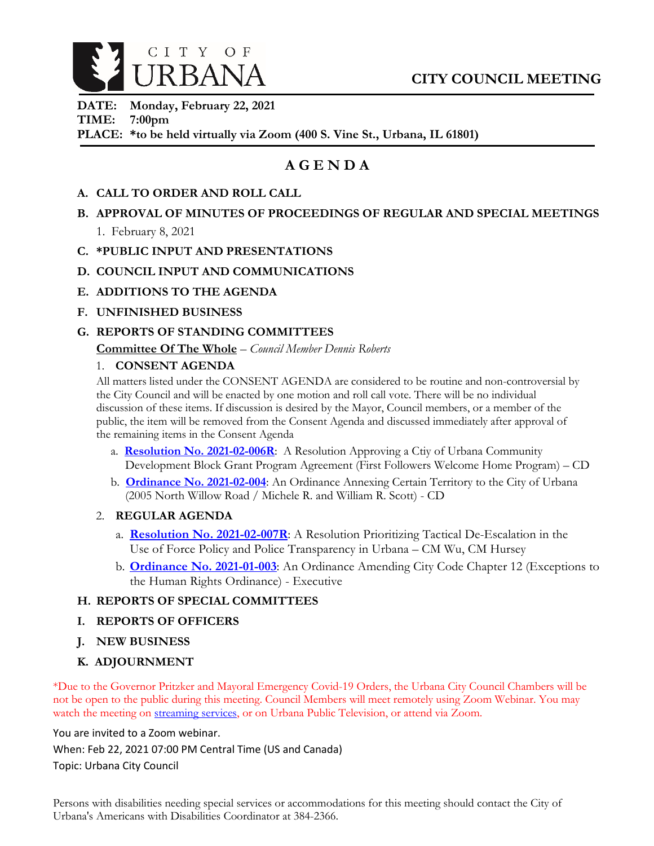

**DATE: Monday, February 22, 2021 TIME: 7:00pm PLACE: \*to be held virtually via Zoom (400 S. Vine St., Urbana, IL 61801)**

# **A G E N D A**

- **A. CALL TO ORDER AND ROLL CALL**
- **B. APPROVAL OF MINUTES OF PROCEEDINGS OF REGULAR AND SPECIAL MEETINGS**
	- 1. February 8, 2021
- **C. \*PUBLIC INPUT AND PRESENTATIONS**
- **D. COUNCIL INPUT AND COMMUNICATIONS**
- **E. ADDITIONS TO THE AGENDA**
- **F. UNFINISHED BUSINESS**

#### **G. REPORTS OF STANDING COMMITTEES**

**Committee Of The Whole** – *Council Member Dennis Roberts*

#### 1. **CONSENT AGENDA**

All matters listed under the CONSENT AGENDA are considered to be routine and non-controversial by the City Council and will be enacted by one motion and roll call vote. There will be no individual discussion of these items. If discussion is desired by the Mayor, Council members, or a member of the public, the item will be removed from the Consent Agenda and discussed immediately after approval of the remaining items in the Consent Agenda

- a. **[Resolution No. 2021-02-006R](https://urbanaillinois.us/sites/default/files/attachments/Resolution_2021-02-006R_1.pdf)**: A Resolution Approving a Ctiy of Urbana Community Development Block Grant Program Agreement (First Followers Welcome Home Program) – CD
- b. **[Ordinance No. 2021-02-004](https://urbanaillinois.us/sites/default/files/attachments/Ordinance_2021-02-004_1.pdf)**: An Ordinance Annexing Certain Territory to the City of Urbana (2005 North Willow Road / Michele R. and William R. Scott) - CD
- 2. **REGULAR AGENDA**
	- a. **[Resolution No. 2021-02-007R](https://urbanaillinois.us/sites/default/files/attachments/Resolution_2021-02-007R_1.pdf)**: A Resolution Prioritizing Tactical De-Escalation in the Use of Force Policy and Police Transparency in Urbana – CM Wu, CM Hursey
	- b. **[Ordinance No. 2021-01-003](https://urbanaillinois.us/sites/default/files/attachments/Ordinance_2021-01-003_amended.pdf)**: An Ordinance Amending City Code Chapter 12 (Exceptions to the Human Rights Ordinance) - Executive

#### **H. REPORTS OF SPECIAL COMMITTEES**

- **I. REPORTS OF OFFICERS**
- **J. NEW BUSINESS**
- **K. ADJOURNMENT**

\*Due to the Governor Pritzker and Mayoral Emergency Covid-19 Orders, the Urbana City Council Chambers will be not be open to the public during this meeting. Council Members will meet remotely using Zoom Webinar. You may watch the meeting on [streaming services,](https://livestream.com/urbana) or on Urbana Public Television, or attend via Zoom.

You are invited to a Zoom webinar.

When: Feb 22, 2021 07:00 PM Central Time (US and Canada)

Topic: Urbana City Council

Persons with disabilities needing special services or accommodations for this meeting should contact the City of Urbana's Americans with Disabilities Coordinator at 384-2366.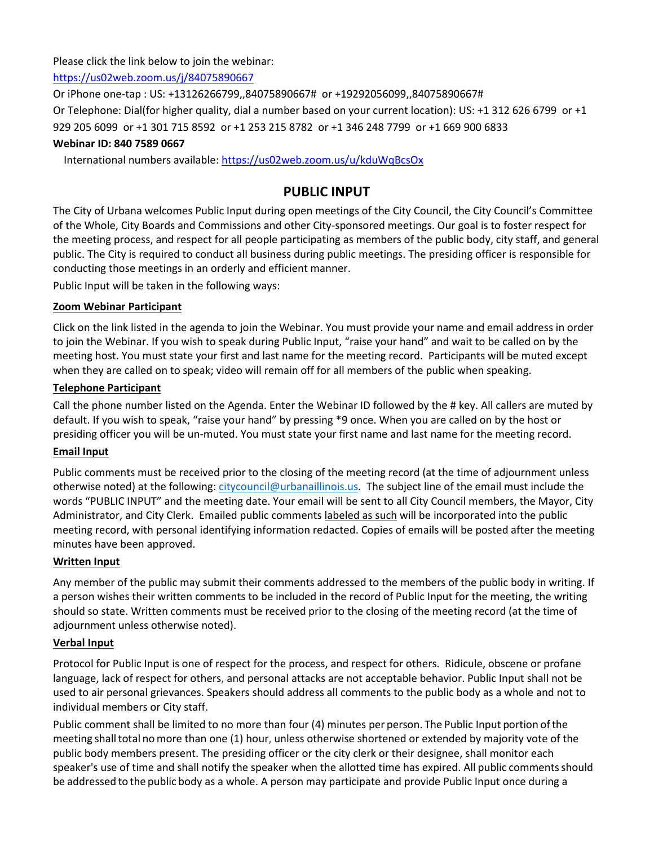Please click the link below to join the webinar:

<https://us02web.zoom.us/j/84075890667>

Or iPhone one-tap : US: +13126266799,,84075890667# or +19292056099,,84075890667#

Or Telephone: Dial(for higher quality, dial a number based on your current location): US: +1 312 626 6799 or +1

929 205 6099 or +1 301 715 8592 or +1 253 215 8782 or +1 346 248 7799 or +1 669 900 6833

# **Webinar ID: 840 7589 0667**

International numbers available[: https://us02web.zoom.us/u/kduWqBcsOx](https://us02web.zoom.us/u/kduWqBcsOx)

# **PUBLIC INPUT**

The City of Urbana welcomes Public Input during open meetings of the City Council, the City Council's Committee of the Whole, City Boards and Commissions and other City-sponsored meetings. Our goal is to foster respect for the meeting process, and respect for all people participating as members of the public body, city staff, and general public. The City is required to conduct all business during public meetings. The presiding officer is responsible for conducting those meetings in an orderly and efficient manner.

Public Input will be taken in the following ways:

### **Zoom Webinar Participant**

Click on the link listed in the agenda to join the Webinar. You must provide your name and email address in order to join the Webinar. If you wish to speak during Public Input, "raise your hand" and wait to be called on by the meeting host. You must state your first and last name for the meeting record. Participants will be muted except when they are called on to speak; video will remain off for all members of the public when speaking.

### **Telephone Participant**

Call the phone number listed on the Agenda. Enter the Webinar ID followed by the # key. All callers are muted by default. If you wish to speak, "raise your hand" by pressing \*9 once. When you are called on by the host or presiding officer you will be un-muted. You must state your first name and last name for the meeting record.

### **Email Input**

Public comments must be received prior to the closing of the meeting record (at the time of adjournment unless otherwise noted) at the following: [citycouncil@urbanaillinois.us.](mailto:citycouncil@urbanaillinois.us) The subject line of the email must include the words "PUBLIC INPUT" and the meeting date. Your email will be sent to all City Council members, the Mayor, City Administrator, and City Clerk. Emailed public comments labeled as such will be incorporated into the public meeting record, with personal identifying information redacted. Copies of emails will be posted after the meeting minutes have been approved.

### **Written Input**

Any member of the public may submit their comments addressed to the members of the public body in writing. If a person wishes their written comments to be included in the record of Public Input for the meeting, the writing should so state. Written comments must be received prior to the closing of the meeting record (at the time of adjournment unless otherwise noted).

### **Verbal Input**

Protocol for Public Input is one of respect for the process, and respect for others. Ridicule, obscene or profane language, lack of respect for others, and personal attacks are not acceptable behavior. Public Input shall not be used to air personal grievances. Speakers should address all comments to the public body as a whole and not to individual members or City staff.

Public comment shall be limited to no more than four (4) minutes per person. The Public Input portion ofthe meeting shalltotal nomore than one (1) hour, unless otherwise shortened or extended by majority vote of the public body members present. The presiding officer or the city clerk or their designee, shall monitor each speaker's use of time and shall notify the speaker when the allotted time has expired. All public comments should be addressed to the public body as a whole. A person may participate and provide Public Input once during a